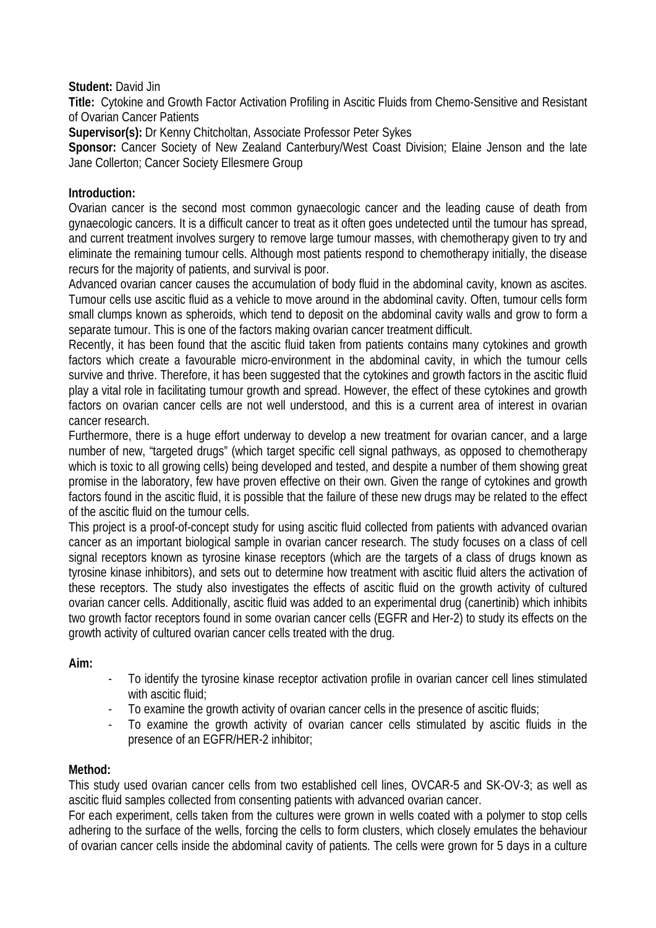# **Student:** David Jin

**Title:** Cytokine and Growth Factor Activation Profiling in Ascitic Fluids from Chemo-Sensitive and Resistant of Ovarian Cancer Patients

**Supervisor(s):** Dr Kenny Chitcholtan, Associate Professor Peter Sykes

**Sponsor:** Cancer Society of New Zealand Canterbury/West Coast Division; Elaine Jenson and the late Jane Collerton; Cancer Society Ellesmere Group

#### **Introduction:**

Ovarian cancer is the second most common gynaecologic cancer and the leading cause of death from gynaecologic cancers. It is a difficult cancer to treat as it often goes undetected until the tumour has spread, and current treatment involves surgery to remove large tumour masses, with chemotherapy given to try and eliminate the remaining tumour cells. Although most patients respond to chemotherapy initially, the disease recurs for the majority of patients, and survival is poor.

Advanced ovarian cancer causes the accumulation of body fluid in the abdominal cavity, known as ascites. Tumour cells use ascitic fluid as a vehicle to move around in the abdominal cavity. Often, tumour cells form small clumps known as spheroids, which tend to deposit on the abdominal cavity walls and grow to form a separate tumour. This is one of the factors making ovarian cancer treatment difficult.

Recently, it has been found that the ascitic fluid taken from patients contains many cytokines and growth factors which create a favourable micro-environment in the abdominal cavity, in which the tumour cells survive and thrive. Therefore, it has been suggested that the cytokines and growth factors in the ascitic fluid play a vital role in facilitating tumour growth and spread. However, the effect of these cytokines and growth factors on ovarian cancer cells are not well understood, and this is a current area of interest in ovarian cancer research.

Furthermore, there is a huge effort underway to develop a new treatment for ovarian cancer, and a large number of new, "targeted drugs" (which target specific cell signal pathways, as opposed to chemotherapy which is toxic to all growing cells) being developed and tested, and despite a number of them showing great promise in the laboratory, few have proven effective on their own. Given the range of cytokines and growth factors found in the ascitic fluid, it is possible that the failure of these new drugs may be related to the effect of the ascitic fluid on the tumour cells.

This project is a proof-of-concept study for using ascitic fluid collected from patients with advanced ovarian cancer as an important biological sample in ovarian cancer research. The study focuses on a class of cell signal receptors known as tyrosine kinase receptors (which are the targets of a class of drugs known as tyrosine kinase inhibitors), and sets out to determine how treatment with ascitic fluid alters the activation of these receptors. The study also investigates the effects of ascitic fluid on the growth activity of cultured ovarian cancer cells. Additionally, ascitic fluid was added to an experimental drug (canertinib) which inhibits two growth factor receptors found in some ovarian cancer cells (EGFR and Her-2) to study its effects on the growth activity of cultured ovarian cancer cells treated with the drug.

# **Aim:**

- To identify the tyrosine kinase receptor activation profile in ovarian cancer cell lines stimulated with ascitic fluid;
- To examine the growth activity of ovarian cancer cells in the presence of ascitic fluids;
- To examine the growth activity of ovarian cancer cells stimulated by ascitic fluids in the presence of an EGFR/HER-2 inhibitor;

# **Method:**

This study used ovarian cancer cells from two established cell lines, OVCAR-5 and SK-OV-3; as well as ascitic fluid samples collected from consenting patients with advanced ovarian cancer.

For each experiment, cells taken from the cultures were grown in wells coated with a polymer to stop cells adhering to the surface of the wells, forcing the cells to form clusters, which closely emulates the behaviour of ovarian cancer cells inside the abdominal cavity of patients. The cells were grown for 5 days in a culture